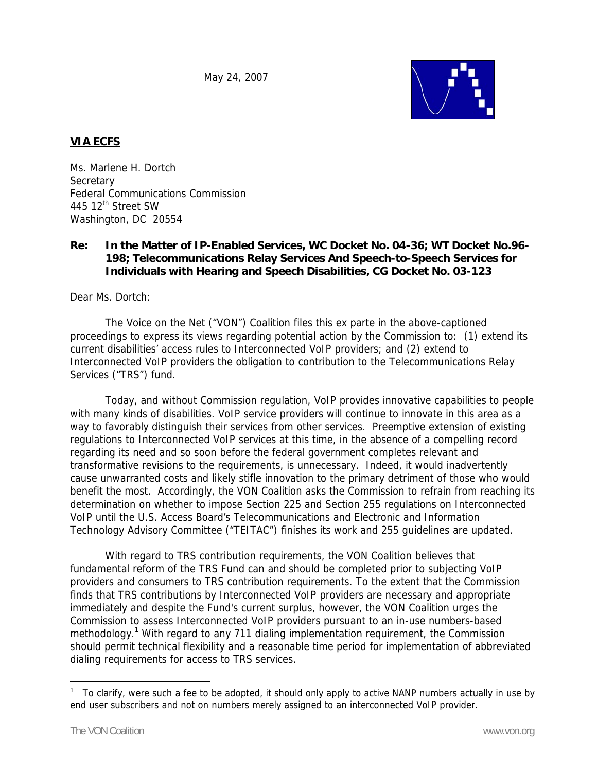May 24, 2007



## **VIA ECFS**

Ms. Marlene H. Dortch **Secretary** Federal Communications Commission 445 12<sup>th</sup> Street SW Washington, DC 20554

### **Re: In the Matter of IP-Enabled Services, WC Docket No. 04-36; WT Docket No.96- 198; Telecommunications Relay Services And Speech-to-Speech Services for Individuals with Hearing and Speech Disabilities, CG Docket No. 03-123**

Dear Ms. Dortch:

 The Voice on the Net ("VON") Coalition files this ex parte in the above-captioned proceedings to express its views regarding potential action by the Commission to: (1) extend its current disabilities' access rules to Interconnected VoIP providers; and (2) extend to Interconnected VoIP providers the obligation to contribution to the Telecommunications Relay Services ("TRS") fund.

Today, and without Commission regulation, VoIP provides innovative capabilities to people with many kinds of disabilities. VoIP service providers will continue to innovate in this area as a way to favorably distinguish their services from other services. Preemptive extension of existing regulations to Interconnected VoIP services at this time, in the absence of a compelling record regarding its need and so soon before the federal government completes relevant and transformative revisions to the requirements, is unnecessary. Indeed, it would inadvertently cause unwarranted costs and likely stifle innovation to the primary detriment of those who would benefit the most. Accordingly, the VON Coalition asks the Commission to refrain from reaching its determination on whether to impose Section 225 and Section 255 regulations on Interconnected VoIP until the U.S. Access Board's Telecommunications and Electronic and Information Technology Advisory Committee ("TEITAC") finishes its work and 255 guidelines are updated.

With regard to TRS contribution requirements, the VON Coalition believes that fundamental reform of the TRS Fund can and should be completed prior to subjecting VoIP providers and consumers to TRS contribution requirements. To the extent that the Commission finds that TRS contributions by Interconnected VoIP providers are necessary and appropriate immediately and despite the Fund's current surplus, however, the VON Coalition urges the Commission to assess Interconnected VoIP providers pursuant to an in-use numbers-based methodology.<sup>1</sup> With regard to any 711 dialing implementation requirement, the Commission should permit technical flexibility and a reasonable time period for implementation of abbreviated dialing requirements for access to TRS services.

<sup>&</sup>lt;sup>1</sup> To clarify, were such a fee to be adopted, it should only apply to active NANP numbers actually in use by end user subscribers and not on numbers merely assigned to an interconnected VoIP provider.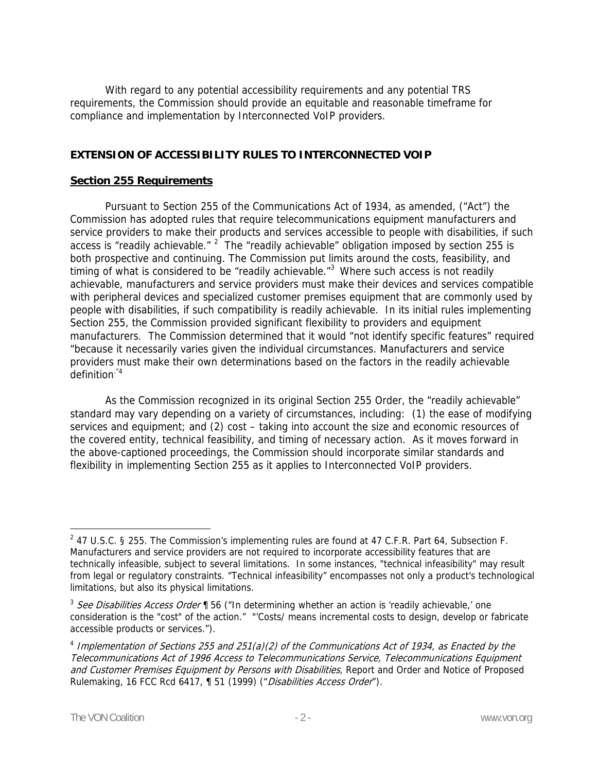With regard to any potential accessibility requirements and any potential TRS requirements, the Commission should provide an equitable and reasonable timeframe for compliance and implementation by Interconnected VoIP providers.

# **EXTENSION OF ACCESSIBILITY RULES TO INTERCONNECTED VOIP**

#### **Section 255 Requirements**

Pursuant to Section 255 of the Communications Act of 1934, as amended, ("Act") the Commission has adopted rules that require telecommunications equipment manufacturers and service providers to make their products and services accessible to people with disabilities, if such access is "readily achievable."  $2$  The "readily achievable" obligation imposed by section 255 is both prospective and continuing. The Commission put limits around the costs, feasibility, and timing of what is considered to be "readily achievable."<sup>3</sup> Where such access is not readily achievable, manufacturers and service providers must make their devices and services compatible with peripheral devices and specialized customer premises equipment that are commonly used by people with disabilities, if such compatibility is readily achievable. In its initial rules implementing Section 255, the Commission provided significant flexibility to providers and equipment manufacturers. The Commission determined that it would "not identify specific features" required "because it necessarily varies given the individual circumstances. Manufacturers and service providers must make their own determinations based on the factors in the readily achievable definition."4

As the Commission recognized in its original Section 255 Order, the "readily achievable" standard may vary depending on a variety of circumstances, including: (1) the ease of modifying services and equipment; and (2) cost – taking into account the size and economic resources of the covered entity, technical feasibility, and timing of necessary action. As it moves forward in the above-captioned proceedings, the Commission should incorporate similar standards and flexibility in implementing Section 255 as it applies to Interconnected VoIP providers.

 $2$  47 U.S.C. § 255. The Commission's implementing rules are found at 47 C.F.R. Part 64, Subsection F. Manufacturers and service providers are not required to incorporate accessibility features that are technically infeasible, subject to several limitations. In some instances, "technical infeasibility" may result from legal or regulatory constraints. "Technical infeasibility" encompasses not only a product's technological limitations, but also its physical limitations.

<sup>&</sup>lt;sup>3</sup> See Disabilities Access Order | 56 ("In determining whether an action is 'readily achievable,' one consideration is the "cost" of the action." "'Costs/ means incremental costs to design, develop or fabricate accessible products or services.").

 $4$  Implementation of Sections 255 and 251(a)(2) of the Communications Act of 1934, as Enacted by the Telecommunications Act of 1996 Access to Telecommunications Service, Telecommunications Equipment and Customer Premises Equipment by Persons with Disabilities, Report and Order and Notice of Proposed Rulemaking, 16 FCC Rcd 6417, ¶ 51 (1999) ("Disabilities Access Order").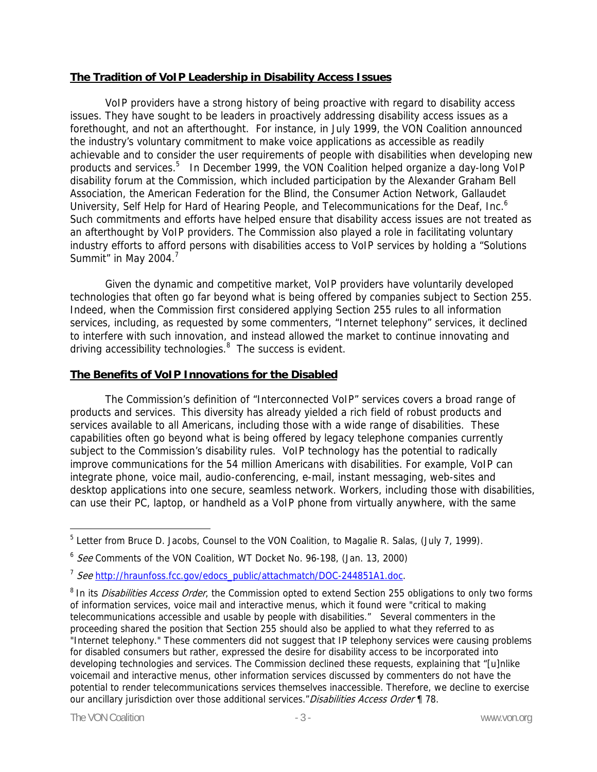#### **The Tradition of VoIP Leadership in Disability Access Issues**

VoIP providers have a strong history of being proactive with regard to disability access issues. They have sought to be leaders in proactively addressing disability access issues as a forethought, and not an afterthought. For instance, in July 1999, the VON Coalition announced the industry's voluntary commitment to make voice applications as accessible as readily achievable and to consider the user requirements of people with disabilities when developing new products and services.<sup>5</sup> In December 1999, the VON Coalition helped organize a day-long VoIP disability forum at the Commission, which included participation by the Alexander Graham Bell Association, the American Federation for the Blind, the Consumer Action Network, Gallaudet University, Self Help for Hard of Hearing People, and Telecommunications for the Deaf, Inc.<sup>6</sup> Such commitments and efforts have helped ensure that disability access issues are not treated as an afterthought by VoIP providers. The Commission also played a role in facilitating voluntary industry efforts to afford persons with disabilities access to VoIP services by holding a "Solutions Summit" in May 2004. $7$ 

Given the dynamic and competitive market, VoIP providers have voluntarily developed technologies that often go far beyond what is being offered by companies subject to Section 255. Indeed, when the Commission first considered applying Section 255 rules to all information services, including, as requested by some commenters, "Internet telephony" services, it declined to interfere with such innovation, and instead allowed the market to continue innovating and driving accessibility technologies.<sup>8</sup> The success is evident.

# **The Benefits of VoIP Innovations for the Disabled**

The Commission's definition of "Interconnected VoIP" services covers a broad range of products and services. This diversity has already yielded a rich field of robust products and services available to all Americans, including those with a wide range of disabilities. These capabilities often go beyond what is being offered by legacy telephone companies currently subject to the Commission's disability rules. VoIP technology has the potential to radically improve communications for the 54 million Americans with disabilities. For example, VoIP can integrate phone, voice mail, audio-conferencing, e-mail, instant messaging, web-sites and desktop applications into one secure, seamless network. Workers, including those with disabilities, can use their PC, laptop, or handheld as a VoIP phone from virtually anywhere, with the same

<sup>&</sup>lt;sup>5</sup> Letter from Bruce D. Jacobs, Counsel to the VON Coalition, to Magalie R. Salas, (July 7, 1999).

<sup>&</sup>lt;sup>6</sup> See Comments of the VON Coalition, WT Docket No. 96-198, (Jan. 13, 2000)

<sup>&</sup>lt;sup>7</sup> See http://hraunfoss.fcc.gov/edocs\_public/attachmatch/DOC-244851A1.doc.

<sup>&</sup>lt;sup>8</sup> In its *Disabilities Access Order*, the Commission opted to extend Section 255 obligations to only two forms of information services, voice mail and interactive menus, which it found were "critical to making telecommunications accessible and usable by people with disabilities." Several commenters in the proceeding shared the position that Section 255 should also be applied to what they referred to as "Internet telephony." These commenters did not suggest that IP telephony services were causing problems for disabled consumers but rather, expressed the desire for disability access to be incorporated into developing technologies and services. The Commission declined these requests, explaining that "[u]nlike voicemail and interactive menus, other information services discussed by commenters do not have the potential to render telecommunications services themselves inaccessible. Therefore, we decline to exercise our ancillary jurisdiction over those additional services." Disabilities Access Order [ 78.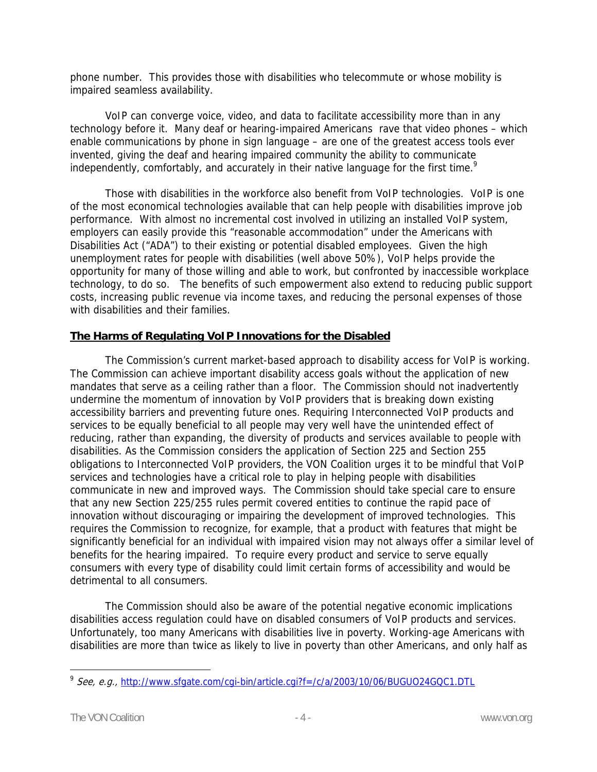phone number. This provides those with disabilities who telecommute or whose mobility is impaired seamless availability.

VoIP can converge voice, video, and data to facilitate accessibility more than in any technology before it. Many deaf or hearing-impaired Americans rave that video phones – which enable communications by phone in sign language – are one of the greatest access tools ever invented, giving the deaf and hearing impaired community the ability to communicate independently, comfortably, and accurately in their native language for the first time.<sup>9</sup>

Those with disabilities in the workforce also benefit from VoIP technologies. VoIP is one of the most economical technologies available that can help people with disabilities improve job performance. With almost no incremental cost involved in utilizing an installed VoIP system, employers can easily provide this "reasonable accommodation" under the Americans with Disabilities Act ("ADA") to their existing or potential disabled employees. Given the high unemployment rates for people with disabilities (well above 50%), VoIP helps provide the opportunity for many of those willing and able to work, but confronted by inaccessible workplace technology, to do so. The benefits of such empowerment also extend to reducing public support costs, increasing public revenue via income taxes, and reducing the personal expenses of those with disabilities and their families.

# **The Harms of Regulating VoIP Innovations for the Disabled**

The Commission's current market-based approach to disability access for VoIP is working. The Commission can achieve important disability access goals without the application of new mandates that serve as a ceiling rather than a floor. The Commission should not inadvertently undermine the momentum of innovation by VoIP providers that is breaking down existing accessibility barriers and preventing future ones. Requiring Interconnected VoIP products and services to be equally beneficial to all people may very well have the unintended effect of reducing, rather than expanding, the diversity of products and services available to people with disabilities. As the Commission considers the application of Section 225 and Section 255 obligations to Interconnected VoIP providers, the VON Coalition urges it to be mindful that VoIP services and technologies have a critical role to play in helping people with disabilities communicate in new and improved ways. The Commission should take special care to ensure that any new Section 225/255 rules permit covered entities to continue the rapid pace of innovation without discouraging or impairing the development of improved technologies. This requires the Commission to recognize, for example, that a product with features that might be significantly beneficial for an individual with impaired vision may not always offer a similar level of benefits for the hearing impaired. To require every product and service to serve equally consumers with every type of disability could limit certain forms of accessibility and would be detrimental to all consumers.

The Commission should also be aware of the potential negative economic implications disabilities access regulation could have on disabled consumers of VoIP products and services. Unfortunately, too many Americans with disabilities live in poverty. Working-age Americans with disabilities are more than twice as likely to live in poverty than other Americans, and only half as

 $\overline{a}$  $9$  See, e.g., http://www.sfgate.com/cgi-bin/article.cgi?f=/c/a/2003/10/06/BUGUO24GQC1.DTL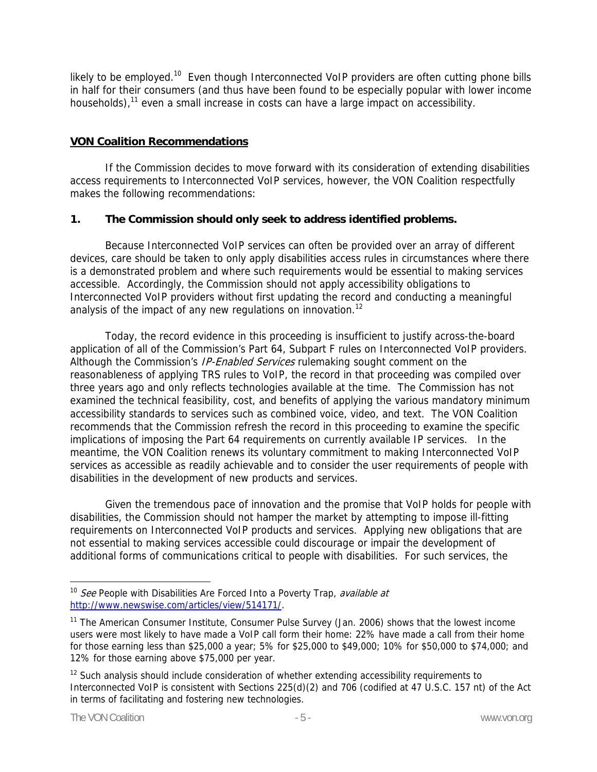likely to be employed.<sup>10</sup> Even though Interconnected VoIP providers are often cutting phone bills in half for their consumers (and thus have been found to be especially popular with lower income households),<sup>11</sup> even a small increase in costs can have a large impact on accessibility.

## **VON Coalition Recommendations**

If the Commission decides to move forward with its consideration of extending disabilities access requirements to Interconnected VoIP services, however, the VON Coalition respectfully makes the following recommendations:

## **1. The Commission should only seek to address identified problems.**

Because Interconnected VoIP services can often be provided over an array of different devices, care should be taken to only apply disabilities access rules in circumstances where there is a demonstrated problem and where such requirements would be essential to making services accessible. Accordingly, the Commission should not apply accessibility obligations to Interconnected VoIP providers without first updating the record and conducting a meaningful analysis of the impact of any new regulations on innovation.<sup>12</sup>

 Today, the record evidence in this proceeding is insufficient to justify across-the-board application of all of the Commission's Part 64, Subpart F rules on Interconnected VoIP providers. Although the Commission's IP-Enabled Services rulemaking sought comment on the reasonableness of applying TRS rules to VoIP, the record in that proceeding was compiled over three years ago and only reflects technologies available at the time. The Commission has not examined the technical feasibility, cost, and benefits of applying the various mandatory minimum accessibility standards to services such as combined voice, video, and text. The VON Coalition recommends that the Commission refresh the record in this proceeding to examine the specific implications of imposing the Part 64 requirements on currently available IP services. In the meantime, the VON Coalition renews its voluntary commitment to making Interconnected VoIP services as accessible as readily achievable and to consider the user requirements of people with disabilities in the development of new products and services.

 Given the tremendous pace of innovation and the promise that VoIP holds for people with disabilities, the Commission should not hamper the market by attempting to impose ill-fitting requirements on Interconnected VoIP products and services. Applying new obligations that are not essential to making services accessible could discourage or impair the development of additional forms of communications critical to people with disabilities. For such services, the

<sup>&</sup>lt;sup>10</sup> See People with Disabilities Are Forced Into a Poverty Trap, *available at* http://www.newswise.com/articles/view/514171/.

<sup>&</sup>lt;sup>11</sup> The American Consumer Institute, Consumer Pulse Survey (Jan. 2006) shows that the lowest income users were most likely to have made a VoIP call form their home: 22% have made a call from their home for those earning less than \$25,000 a year; 5% for \$25,000 to \$49,000; 10% for \$50,000 to \$74,000; and 12% for those earning above \$75,000 per year.

 $12$  Such analysis should include consideration of whether extending accessibility requirements to Interconnected VoIP is consistent with Sections 225(d)(2) and 706 (codified at 47 U.S.C. 157 nt) of the Act in terms of facilitating and fostering new technologies.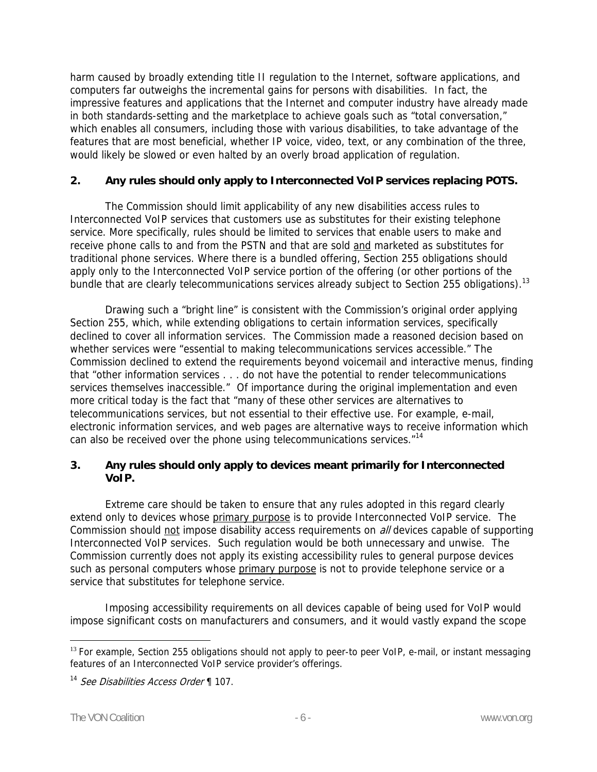harm caused by broadly extending title II regulation to the Internet, software applications, and computers far outweighs the incremental gains for persons with disabilities. In fact, the impressive features and applications that the Internet and computer industry have already made in both standards-setting and the marketplace to achieve goals such as "total conversation," which enables all consumers, including those with various disabilities, to take advantage of the features that are most beneficial, whether IP voice, video, text, or any combination of the three, would likely be slowed or even halted by an overly broad application of regulation.

## **2. Any rules should only apply to Interconnected VoIP services replacing POTS.**

The Commission should limit applicability of any new disabilities access rules to Interconnected VoIP services that customers use as substitutes for their existing telephone service. More specifically, rules should be limited to services that enable users to make and receive phone calls to and from the PSTN and that are sold and marketed as substitutes for traditional phone services. Where there is a bundled offering, Section 255 obligations should apply only to the Interconnected VoIP service portion of the offering (or other portions of the bundle that are clearly telecommunications services already subject to Section 255 obligations).<sup>13</sup>

Drawing such a "bright line" is consistent with the Commission's original order applying Section 255, which, while extending obligations to certain information services, specifically declined to cover all information services. The Commission made a reasoned decision based on whether services were "essential to making telecommunications services accessible." The Commission declined to extend the requirements beyond voicemail and interactive menus, finding that "other information services . . . do not have the potential to render telecommunications services themselves inaccessible." Of importance during the original implementation and even more critical today is the fact that "many of these other services are alternatives to telecommunications services, but not essential to their effective use. For example, e-mail, electronic information services, and web pages are alternative ways to receive information which can also be received over the phone using telecommunications services. $14$ 

#### **3. Any rules should only apply to devices meant primarily for Interconnected VoIP.**

Extreme care should be taken to ensure that any rules adopted in this regard clearly extend only to devices whose primary purpose is to provide Interconnected VoIP service. The Commission should not impose disability access requirements on all devices capable of supporting Interconnected VoIP services. Such regulation would be both unnecessary and unwise. The Commission currently does not apply its existing accessibility rules to general purpose devices such as personal computers whose primary purpose is not to provide telephone service or a service that substitutes for telephone service.

Imposing accessibility requirements on all devices capable of being used for VoIP would impose significant costs on manufacturers and consumers, and it would vastly expand the scope

 $13$  For example, Section 255 obligations should not apply to peer-to peer VoIP, e-mail, or instant messaging features of an Interconnected VoIP service provider's offerings.

<sup>&</sup>lt;sup>14</sup> See Disabilities Access Order ¶ 107.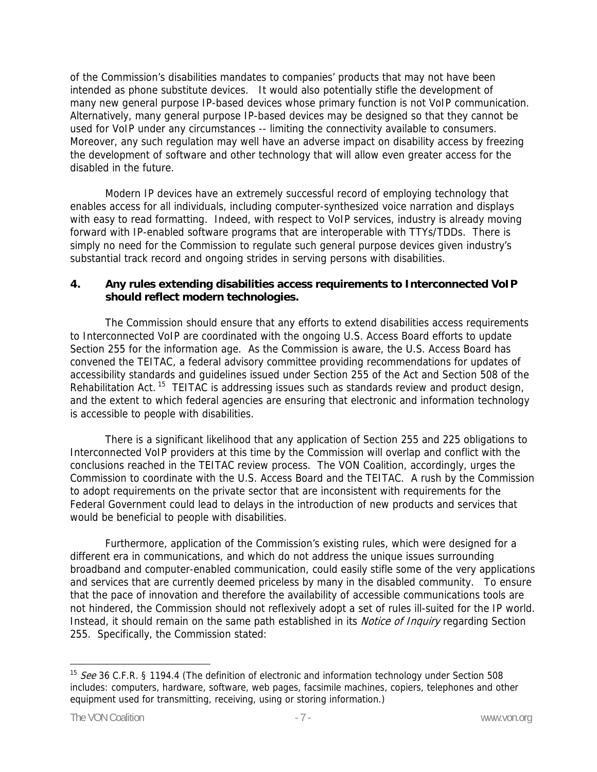of the Commission's disabilities mandates to companies' products that may not have been intended as phone substitute devices. It would also potentially stifle the development of many new general purpose IP-based devices whose primary function is not VoIP communication. Alternatively, many general purpose IP-based devices may be designed so that they cannot be used for VoIP under any circumstances -- limiting the connectivity available to consumers. Moreover, any such regulation may well have an adverse impact on disability access by freezing the development of software and other technology that will allow even greater access for the disabled in the future.

Modern IP devices have an extremely successful record of employing technology that enables access for all individuals, including computer-synthesized voice narration and displays with easy to read formatting. Indeed, with respect to VoIP services, industry is already moving forward with IP-enabled software programs that are interoperable with TTYs/TDDs. There is simply no need for the Commission to regulate such general purpose devices given industry's substantial track record and ongoing strides in serving persons with disabilities.

## **4. Any rules extending disabilities access requirements to Interconnected VoIP should reflect modern technologies.**

The Commission should ensure that any efforts to extend disabilities access requirements to Interconnected VoIP are coordinated with the ongoing U.S. Access Board efforts to update Section 255 for the information age. As the Commission is aware, the U.S. Access Board has convened the TEITAC, a federal advisory committee providing recommendations for updates of accessibility standards and guidelines issued under Section 255 of the Act and Section 508 of the Rehabilitation Act.<sup>15</sup> TEITAC is addressing issues such as standards review and product design, and the extent to which federal agencies are ensuring that electronic and information technology is accessible to people with disabilities.

There is a significant likelihood that any application of Section 255 and 225 obligations to Interconnected VoIP providers at this time by the Commission will overlap and conflict with the conclusions reached in the TEITAC review process. The VON Coalition, accordingly, urges the Commission to coordinate with the U.S. Access Board and the TEITAC. A rush by the Commission to adopt requirements on the private sector that are inconsistent with requirements for the Federal Government could lead to delays in the introduction of new products and services that would be beneficial to people with disabilities.

Furthermore, application of the Commission's existing rules, which were designed for a different era in communications, and which do not address the unique issues surrounding broadband and computer-enabled communication, could easily stifle some of the very applications and services that are currently deemed priceless by many in the disabled community. To ensure that the pace of innovation and therefore the availability of accessible communications tools are not hindered, the Commission should not reflexively adopt a set of rules ill-suited for the IP world. Instead, it should remain on the same path established in its Notice of Inquiry regarding Section 255. Specifically, the Commission stated:

<sup>&</sup>lt;sup>15</sup> See 36 C.F.R. § 1194.4 (The definition of electronic and information technology under Section 508 includes: computers, hardware, software, web pages, facsimile machines, copiers, telephones and other equipment used for transmitting, receiving, using or storing information.)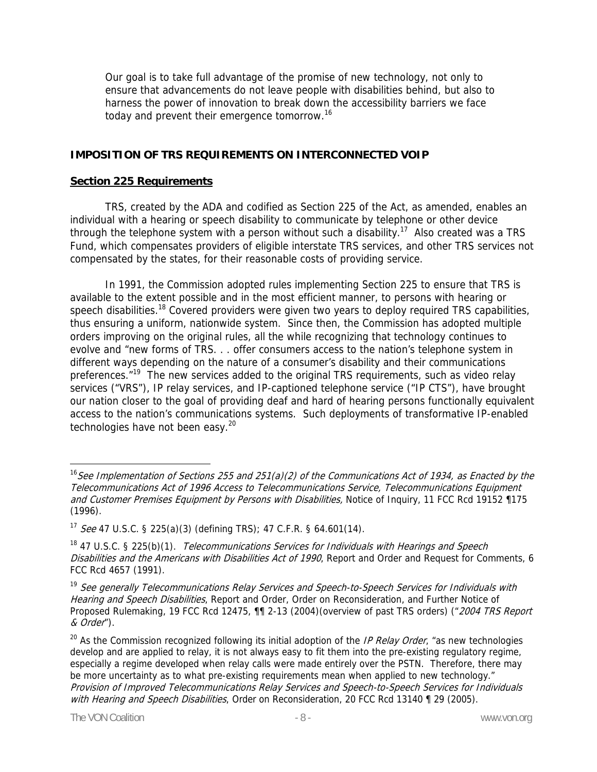Our goal is to take full advantage of the promise of new technology, not only to ensure that advancements do not leave people with disabilities behind, but also to harness the power of innovation to break down the accessibility barriers we face today and prevent their emergence tomorrow.<sup>16</sup>

## **IMPOSITION OF TRS REQUIREMENTS ON INTERCONNECTED VOIP**

#### **Section 225 Requirements**

TRS, created by the ADA and codified as Section 225 of the Act, as amended, enables an individual with a hearing or speech disability to communicate by telephone or other device through the telephone system with a person without such a disability.<sup>17</sup> Also created was a TRS Fund, which compensates providers of eligible interstate TRS services, and other TRS services not compensated by the states, for their reasonable costs of providing service.

In 1991, the Commission adopted rules implementing Section 225 to ensure that TRS is available to the extent possible and in the most efficient manner, to persons with hearing or speech disabilities.<sup>18</sup> Covered providers were given two years to deploy required TRS capabilities, thus ensuring a uniform, nationwide system. Since then, the Commission has adopted multiple orders improving on the original rules, all the while recognizing that technology continues to evolve and "new forms of TRS. . . offer consumers access to the nation's telephone system in different ways depending on the nature of a consumer's disability and their communications preferences."<sup>19</sup> The new services added to the original TRS requirements, such as video relay services ("VRS"), IP relay services, and IP-captioned telephone service ("IP CTS"), have brought our nation closer to the goal of providing deaf and hard of hearing persons functionally equivalent access to the nation's communications systems. Such deployments of transformative IP-enabled technologies have not been easy.<sup>20</sup>

<sup>&</sup>lt;sup>16</sup>See Implementation of Sections 255 and 251(a)(2) of the Communications Act of 1934, as Enacted by the Telecommunications Act of 1996 Access to Telecommunications Service, Telecommunications Equipment and Customer Premises Equipment by Persons with Disabilities, Notice of Inquiry, 11 FCC Rcd 19152 ¶175 (1996).

<sup>&</sup>lt;sup>17</sup> See 47 U.S.C. § 225(a)(3) (defining TRS); 47 C.F.R. § 64.601(14).

<sup>&</sup>lt;sup>18</sup> 47 U.S.C. § 225(b)(1). Telecommunications Services for Individuals with Hearings and Speech Disabilities and the Americans with Disabilities Act of 1990, Report and Order and Request for Comments, 6 FCC Rcd 4657 (1991).

<sup>&</sup>lt;sup>19</sup> See generally Telecommunications Relay Services and Speech-to-Speech Services for Individuals with Hearing and Speech Disabilities, Report and Order, Order on Reconsideration, and Further Notice of Proposed Rulemaking, 19 FCC Rcd 12475, 11 2-13 (2004) (overview of past TRS orders) ("2004 TRS Report & Order").

<sup>&</sup>lt;sup>20</sup> As the Commission recognized following its initial adoption of the *IP Relay Order*, "as new technologies develop and are applied to relay, it is not always easy to fit them into the pre-existing regulatory regime, especially a regime developed when relay calls were made entirely over the PSTN. Therefore, there may be more uncertainty as to what pre-existing requirements mean when applied to new technology." Provision of Improved Telecommunications Relay Services and Speech-to-Speech Services for Individuals with Hearing and Speech Disabilities, Order on Reconsideration, 20 FCC Rcd 13140 ¶ 29 (2005).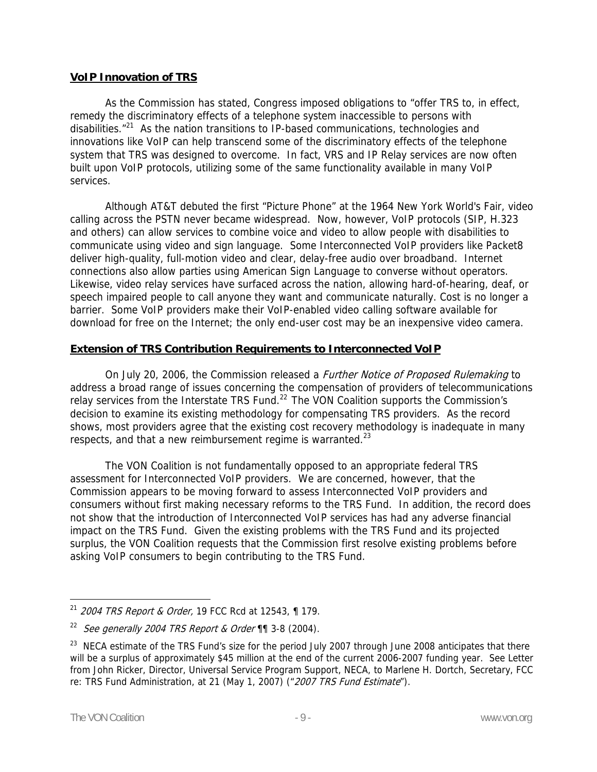## **VoIP Innovation of TRS**

As the Commission has stated, Congress imposed obligations to "offer TRS to, in effect, remedy the discriminatory effects of a telephone system inaccessible to persons with disabilities."21 As the nation transitions to IP-based communications, technologies and innovations like VoIP can help transcend some of the discriminatory effects of the telephone system that TRS was designed to overcome. In fact, VRS and IP Relay services are now often built upon VoIP protocols, utilizing some of the same functionality available in many VoIP services.

Although AT&T debuted the first "Picture Phone" at the 1964 New York World's Fair, video calling across the PSTN never became widespread. Now, however, VoIP protocols (SIP, H.323 and others) can allow services to combine voice and video to allow people with disabilities to communicate using video and sign language. Some Interconnected VoIP providers like Packet8 deliver high-quality, full-motion video and clear, delay-free audio over broadband. Internet connections also allow parties using American Sign Language to converse without operators. Likewise, video relay services have surfaced across the nation, allowing hard-of-hearing, deaf, or speech impaired people to call anyone they want and communicate naturally. Cost is no longer a barrier. Some VoIP providers make their VoIP-enabled video calling software available for download for free on the Internet; the only end-user cost may be an inexpensive video camera.

# **Extension of TRS Contribution Requirements to Interconnected VoIP**

On July 20, 2006, the Commission released a *Further Notice of Proposed Rulemaking* to address a broad range of issues concerning the compensation of providers of telecommunications relay services from the Interstate TRS Fund. $^{22}$  The VON Coalition supports the Commission's decision to examine its existing methodology for compensating TRS providers. As the record shows, most providers agree that the existing cost recovery methodology is inadequate in many respects, and that a new reimbursement regime is warranted. $^{23}$ 

The VON Coalition is not fundamentally opposed to an appropriate federal TRS assessment for Interconnected VoIP providers. We are concerned, however, that the Commission appears to be moving forward to assess Interconnected VoIP providers and consumers without first making necessary reforms to the TRS Fund. In addition, the record does not show that the introduction of Interconnected VoIP services has had any adverse financial impact on the TRS Fund. Given the existing problems with the TRS Fund and its projected surplus, the VON Coalition requests that the Commission first resolve existing problems before asking VoIP consumers to begin contributing to the TRS Fund.

 $21$  2004 TRS Report & Order, 19 FCC Rcd at 12543, ¶ 179.

<sup>&</sup>lt;sup>22</sup> See generally 2004 TRS Report & Order  $\P$ ] 3-8 (2004).

<sup>&</sup>lt;sup>23</sup> NECA estimate of the TRS Fund's size for the period July 2007 through June 2008 anticipates that there will be a surplus of approximately \$45 million at the end of the current 2006-2007 funding year. See Letter from John Ricker, Director, Universal Service Program Support, NECA, to Marlene H. Dortch, Secretary, FCC re: TRS Fund Administration, at 21 (May 1, 2007) ("2007 TRS Fund Estimate").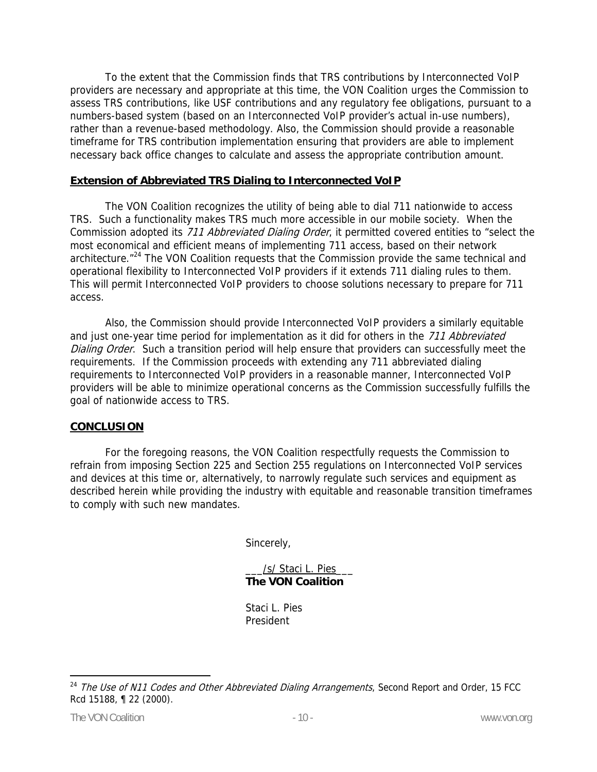To the extent that the Commission finds that TRS contributions by Interconnected VoIP providers are necessary and appropriate at this time, the VON Coalition urges the Commission to assess TRS contributions, like USF contributions and any regulatory fee obligations, pursuant to a numbers-based system (based on an Interconnected VoIP provider's actual in-use numbers), rather than a revenue-based methodology. Also, the Commission should provide a reasonable timeframe for TRS contribution implementation ensuring that providers are able to implement necessary back office changes to calculate and assess the appropriate contribution amount.

## **Extension of Abbreviated TRS Dialing to Interconnected VoIP**

 The VON Coalition recognizes the utility of being able to dial 711 nationwide to access TRS. Such a functionality makes TRS much more accessible in our mobile society. When the Commission adopted its 711 Abbreviated Dialing Order, it permitted covered entities to "select the most economical and efficient means of implementing 711 access, based on their network architecture.<sup>"24</sup> The VON Coalition requests that the Commission provide the same technical and operational flexibility to Interconnected VoIP providers if it extends 711 dialing rules to them. This will permit Interconnected VoIP providers to choose solutions necessary to prepare for 711 access.

Also, the Commission should provide Interconnected VoIP providers a similarly equitable and just one-year time period for implementation as it did for others in the 711 Abbreviated Dialing Order. Such a transition period will help ensure that providers can successfully meet the requirements. If the Commission proceeds with extending any 711 abbreviated dialing requirements to Interconnected VoIP providers in a reasonable manner, Interconnected VoIP providers will be able to minimize operational concerns as the Commission successfully fulfills the goal of nationwide access to TRS.

#### **CONCLUSION**

For the foregoing reasons, the VON Coalition respectfully requests the Commission to refrain from imposing Section 225 and Section 255 regulations on Interconnected VoIP services and devices at this time or, alternatively, to narrowly regulate such services and equipment as described herein while providing the industry with equitable and reasonable transition timeframes to comply with such new mandates.

Sincerely,

\_\_\_/s/ Staci L. Pies\_\_\_ **The VON Coalition**

Staci L. Pies President

<sup>&</sup>lt;sup>24</sup> The Use of N11 Codes and Other Abbreviated Dialing Arrangements, Second Report and Order, 15 FCC Rcd 15188, ¶ 22 (2000).